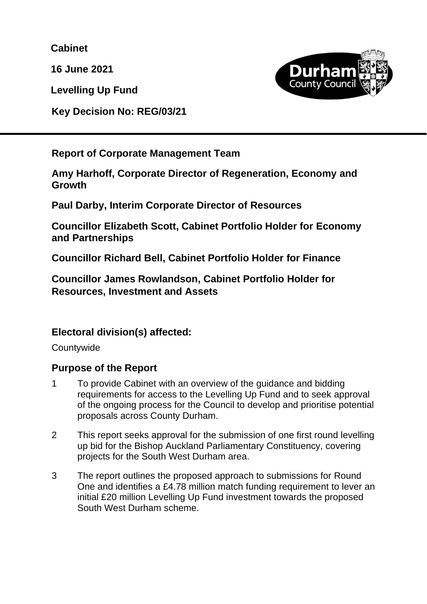**Cabinet**

**16 June 2021**

**Levelling Up Fund**

**Key Decision No: REG/03/21**

**Durha County Cound** 

**Report of Corporate Management Team**

**Amy Harhoff, Corporate Director of Regeneration, Economy and Growth**

**Paul Darby, Interim Corporate Director of Resources**

**Councillor Elizabeth Scott, Cabinet Portfolio Holder for Economy and Partnerships**

**Councillor Richard Bell, Cabinet Portfolio Holder for Finance**

**Councillor James Rowlandson, Cabinet Portfolio Holder for Resources, Investment and Assets**

# **Electoral division(s) affected:**

**Countywide** 

# **Purpose of the Report**

- 1 To provide Cabinet with an overview of the guidance and bidding requirements for access to the Levelling Up Fund and to seek approval of the ongoing process for the Council to develop and prioritise potential proposals across County Durham.
- 2 This report seeks approval for the submission of one first round levelling up bid for the Bishop Auckland Parliamentary Constituency, covering projects for the South West Durham area.
- 3 The report outlines the proposed approach to submissions for Round One and identifies a £4.78 million match funding requirement to lever an initial £20 million Levelling Up Fund investment towards the proposed South West Durham scheme.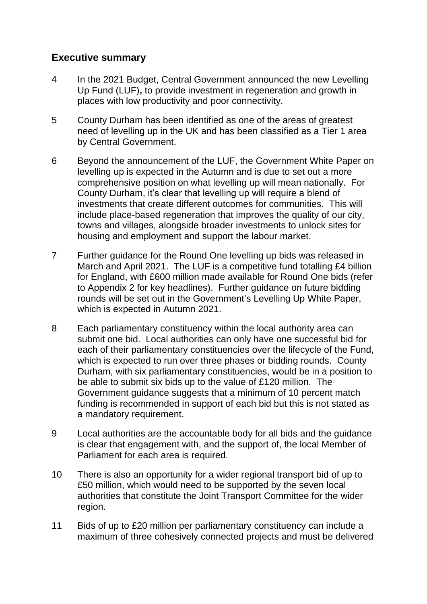#### **Executive summary**

- 4 In the 2021 Budget, Central Government announced the new Levelling Up Fund (LUF)**,** to provide investment in regeneration and growth in places with low productivity and poor connectivity.
- 5 County Durham has been identified as one of the areas of greatest need of levelling up in the UK and has been classified as a Tier 1 area by Central Government.
- 6 Beyond the announcement of the LUF, the Government White Paper on levelling up is expected in the Autumn and is due to set out a more comprehensive position on what levelling up will mean nationally. For County Durham, it's clear that levelling up will require a blend of investments that create different outcomes for communities. This will include place-based regeneration that improves the quality of our city, towns and villages, alongside broader investments to unlock sites for housing and employment and support the labour market.
- 7 Further guidance for the Round One levelling up bids was released in March and April 2021. The LUF is a competitive fund totalling £4 billion for England, with £600 million made available for Round One bids (refer to Appendix 2 for key headlines). Further guidance on future bidding rounds will be set out in the Government's Levelling Up White Paper, which is expected in Autumn 2021.
- 8 Each parliamentary constituency within the local authority area can submit one bid. Local authorities can only have one successful bid for each of their parliamentary constituencies over the lifecycle of the Fund, which is expected to run over three phases or bidding rounds. County Durham, with six parliamentary constituencies, would be in a position to be able to submit six bids up to the value of £120 million. The Government guidance suggests that a minimum of 10 percent match funding is recommended in support of each bid but this is not stated as a mandatory requirement.
- 9 Local authorities are the accountable body for all bids and the guidance is clear that engagement with, and the support of, the local Member of Parliament for each area is required.
- 10 There is also an opportunity for a wider regional transport bid of up to £50 million, which would need to be supported by the seven local authorities that constitute the Joint Transport Committee for the wider region.
- 11 Bids of up to £20 million per parliamentary constituency can include a maximum of three cohesively connected projects and must be delivered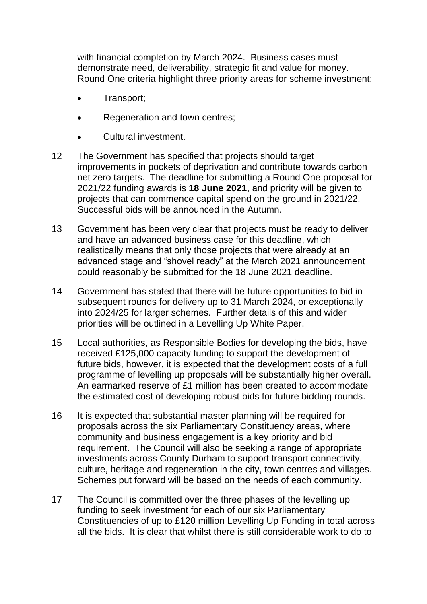with financial completion by March 2024. Business cases must demonstrate need, deliverability, strategic fit and value for money. Round One criteria highlight three priority areas for scheme investment:

- Transport;
- Regeneration and town centres;
- Cultural investment.
- 12 The Government has specified that projects should target improvements in pockets of deprivation and contribute towards carbon net zero targets. The deadline for submitting a Round One proposal for 2021/22 funding awards is **18 June 2021**, and priority will be given to projects that can commence capital spend on the ground in 2021/22. Successful bids will be announced in the Autumn.
- 13 Government has been very clear that projects must be ready to deliver and have an advanced business case for this deadline, which realistically means that only those projects that were already at an advanced stage and "shovel ready" at the March 2021 announcement could reasonably be submitted for the 18 June 2021 deadline.
- 14 Government has stated that there will be future opportunities to bid in subsequent rounds for delivery up to 31 March 2024, or exceptionally into 2024/25 for larger schemes. Further details of this and wider priorities will be outlined in a Levelling Up White Paper.
- 15 Local authorities, as Responsible Bodies for developing the bids, have received £125,000 capacity funding to support the development of future bids, however, it is expected that the development costs of a full programme of levelling up proposals will be substantially higher overall. An earmarked reserve of £1 million has been created to accommodate the estimated cost of developing robust bids for future bidding rounds.
- 16 It is expected that substantial master planning will be required for proposals across the six Parliamentary Constituency areas, where community and business engagement is a key priority and bid requirement. The Council will also be seeking a range of appropriate investments across County Durham to support transport connectivity, culture, heritage and regeneration in the city, town centres and villages. Schemes put forward will be based on the needs of each community.
- 17 The Council is committed over the three phases of the levelling up funding to seek investment for each of our six Parliamentary Constituencies of up to £120 million Levelling Up Funding in total across all the bids. It is clear that whilst there is still considerable work to do to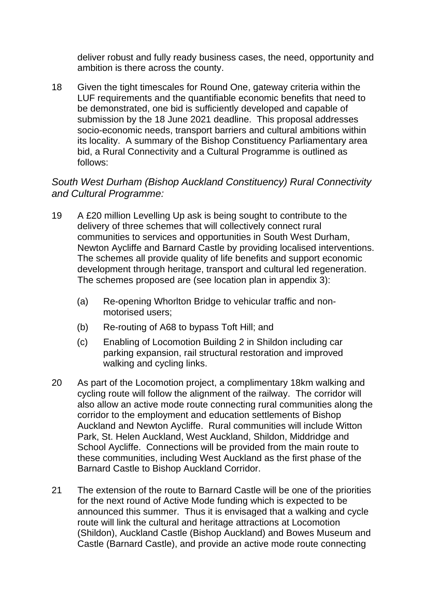deliver robust and fully ready business cases, the need, opportunity and ambition is there across the county.

18 Given the tight timescales for Round One, gateway criteria within the LUF requirements and the quantifiable economic benefits that need to be demonstrated, one bid is sufficiently developed and capable of submission by the 18 June 2021 deadline. This proposal addresses socio-economic needs, transport barriers and cultural ambitions within its locality. A summary of the Bishop Constituency Parliamentary area bid, a Rural Connectivity and a Cultural Programme is outlined as follows:

#### *South West Durham (Bishop Auckland Constituency) Rural Connectivity and Cultural Programme:*

- 19 A £20 million Levelling Up ask is being sought to contribute to the delivery of three schemes that will collectively connect rural communities to services and opportunities in South West Durham, Newton Aycliffe and Barnard Castle by providing localised interventions. The schemes all provide quality of life benefits and support economic development through heritage, transport and cultural led regeneration. The schemes proposed are (see location plan in appendix 3):
	- (a) Re-opening Whorlton Bridge to vehicular traffic and nonmotorised users;
	- (b) Re-routing of A68 to bypass Toft Hill; and
	- (c) Enabling of Locomotion Building 2 in Shildon including car parking expansion, rail structural restoration and improved walking and cycling links.
- 20 As part of the Locomotion project, a complimentary 18km walking and cycling route will follow the alignment of the railway. The corridor will also allow an active mode route connecting rural communities along the corridor to the employment and education settlements of Bishop Auckland and Newton Aycliffe. Rural communities will include Witton Park, St. Helen Auckland, West Auckland, Shildon, Middridge and School Aycliffe. Connections will be provided from the main route to these communities, including West Auckland as the first phase of the Barnard Castle to Bishop Auckland Corridor.
- 21 The extension of the route to Barnard Castle will be one of the priorities for the next round of Active Mode funding which is expected to be announced this summer. Thus it is envisaged that a walking and cycle route will link the cultural and heritage attractions at Locomotion (Shildon), Auckland Castle (Bishop Auckland) and Bowes Museum and Castle (Barnard Castle), and provide an active mode route connecting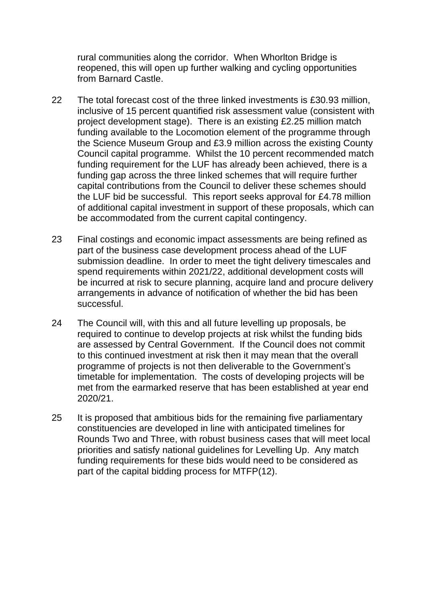rural communities along the corridor. When Whorlton Bridge is reopened, this will open up further walking and cycling opportunities from Barnard Castle.

- 22 The total forecast cost of the three linked investments is £30.93 million, inclusive of 15 percent quantified risk assessment value (consistent with project development stage). There is an existing £2.25 million match funding available to the Locomotion element of the programme through the Science Museum Group and £3.9 million across the existing County Council capital programme. Whilst the 10 percent recommended match funding requirement for the LUF has already been achieved, there is a funding gap across the three linked schemes that will require further capital contributions from the Council to deliver these schemes should the LUF bid be successful. This report seeks approval for £4.78 million of additional capital investment in support of these proposals, which can be accommodated from the current capital contingency.
- 23 Final costings and economic impact assessments are being refined as part of the business case development process ahead of the LUF submission deadline. In order to meet the tight delivery timescales and spend requirements within 2021/22, additional development costs will be incurred at risk to secure planning, acquire land and procure delivery arrangements in advance of notification of whether the bid has been successful.
- 24 The Council will, with this and all future levelling up proposals, be required to continue to develop projects at risk whilst the funding bids are assessed by Central Government. If the Council does not commit to this continued investment at risk then it may mean that the overall programme of projects is not then deliverable to the Government's timetable for implementation. The costs of developing projects will be met from the earmarked reserve that has been established at year end 2020/21.
- 25 It is proposed that ambitious bids for the remaining five parliamentary constituencies are developed in line with anticipated timelines for Rounds Two and Three, with robust business cases that will meet local priorities and satisfy national guidelines for Levelling Up. Any match funding requirements for these bids would need to be considered as part of the capital bidding process for MTFP(12).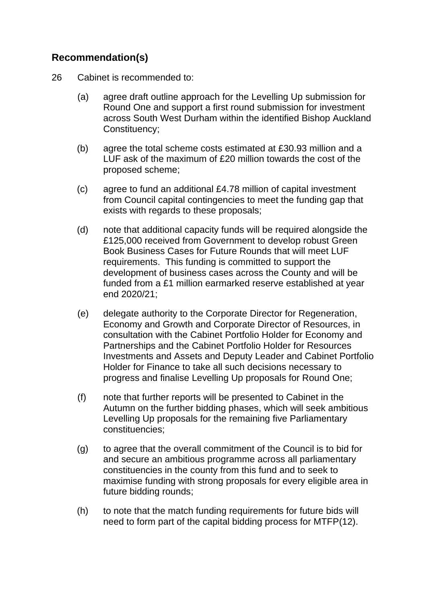### **Recommendation(s)**

- 26 Cabinet is recommended to:
	- (a) agree draft outline approach for the Levelling Up submission for Round One and support a first round submission for investment across South West Durham within the identified Bishop Auckland Constituency;
	- (b) agree the total scheme costs estimated at £30.93 million and a LUF ask of the maximum of £20 million towards the cost of the proposed scheme;
	- (c) agree to fund an additional £4.78 million of capital investment from Council capital contingencies to meet the funding gap that exists with regards to these proposals;
	- (d) note that additional capacity funds will be required alongside the £125,000 received from Government to develop robust Green Book Business Cases for Future Rounds that will meet LUF requirements. This funding is committed to support the development of business cases across the County and will be funded from a £1 million earmarked reserve established at year end 2020/21;
	- (e) delegate authority to the Corporate Director for Regeneration, Economy and Growth and Corporate Director of Resources, in consultation with the Cabinet Portfolio Holder for Economy and Partnerships and the Cabinet Portfolio Holder for Resources Investments and Assets and Deputy Leader and Cabinet Portfolio Holder for Finance to take all such decisions necessary to progress and finalise Levelling Up proposals for Round One;
	- (f) note that further reports will be presented to Cabinet in the Autumn on the further bidding phases, which will seek ambitious Levelling Up proposals for the remaining five Parliamentary constituencies;
	- (g) to agree that the overall commitment of the Council is to bid for and secure an ambitious programme across all parliamentary constituencies in the county from this fund and to seek to maximise funding with strong proposals for every eligible area in future bidding rounds;
	- (h) to note that the match funding requirements for future bids will need to form part of the capital bidding process for MTFP(12).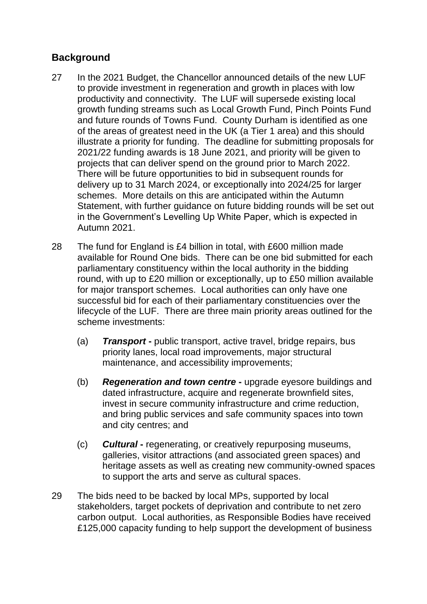# **Background**

- 27 In the 2021 Budget, the Chancellor announced details of the new LUF to provide investment in regeneration and growth in places with low productivity and connectivity. The LUF will supersede existing local growth funding streams such as Local Growth Fund, Pinch Points Fund and future rounds of Towns Fund. County Durham is identified as one of the areas of greatest need in the UK (a Tier 1 area) and this should illustrate a priority for funding. The deadline for submitting proposals for 2021/22 funding awards is 18 June 2021, and priority will be given to projects that can deliver spend on the ground prior to March 2022. There will be future opportunities to bid in subsequent rounds for delivery up to 31 March 2024, or exceptionally into 2024/25 for larger schemes. More details on this are anticipated within the Autumn Statement, with further guidance on future bidding rounds will be set out in the Government's Levelling Up White Paper, which is expected in Autumn 2021.
- 28 The fund for England is £4 billion in total, with £600 million made available for Round One bids. There can be one bid submitted for each parliamentary constituency within the local authority in the bidding round, with up to £20 million or exceptionally, up to £50 million available for major transport schemes. Local authorities can only have one successful bid for each of their parliamentary constituencies over the lifecycle of the LUF. There are three main priority areas outlined for the scheme investments:
	- (a) *Transport* **-** public transport, active travel, bridge repairs, bus priority lanes, local road improvements, major structural maintenance, and accessibility improvements;
	- (b) *Regeneration and town centre* **-** upgrade eyesore buildings and dated infrastructure, acquire and regenerate brownfield sites, invest in secure community infrastructure and crime reduction, and bring public services and safe community spaces into town and city centres; and
	- (c) *Cultural* **-** regenerating, or creatively repurposing museums, galleries, visitor attractions (and associated green spaces) and heritage assets as well as creating new community-owned spaces to support the arts and serve as cultural spaces.
- 29 The bids need to be backed by local MPs, supported by local stakeholders, target pockets of deprivation and contribute to net zero carbon output. Local authorities, as Responsible Bodies have received £125,000 capacity funding to help support the development of business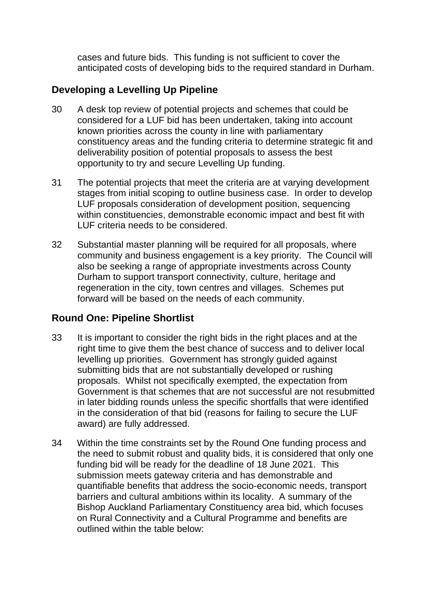cases and future bids. This funding is not sufficient to cover the anticipated costs of developing bids to the required standard in Durham.

## **Developing a Levelling Up Pipeline**

- 30 A desk top review of potential projects and schemes that could be considered for a LUF bid has been undertaken, taking into account known priorities across the county in line with parliamentary constituency areas and the funding criteria to determine strategic fit and deliverability position of potential proposals to assess the best opportunity to try and secure Levelling Up funding.
- 31 The potential projects that meet the criteria are at varying development stages from initial scoping to outline business case. In order to develop LUF proposals consideration of development position, sequencing within constituencies, demonstrable economic impact and best fit with LUF criteria needs to be considered.
- 32 Substantial master planning will be required for all proposals, where community and business engagement is a key priority. The Council will also be seeking a range of appropriate investments across County Durham to support transport connectivity, culture, heritage and regeneration in the city, town centres and villages. Schemes put forward will be based on the needs of each community.

# **Round One: Pipeline Shortlist**

- 33 It is important to consider the right bids in the right places and at the right time to give them the best chance of success and to deliver local levelling up priorities. Government has strongly guided against submitting bids that are not substantially developed or rushing proposals. Whilst not specifically exempted, the expectation from Government is that schemes that are not successful are not resubmitted in later bidding rounds unless the specific shortfalls that were identified in the consideration of that bid (reasons for failing to secure the LUF award) are fully addressed.
- 34 Within the time constraints set by the Round One funding process and the need to submit robust and quality bids, it is considered that only one funding bid will be ready for the deadline of 18 June 2021. This submission meets gateway criteria and has demonstrable and quantifiable benefits that address the socio-economic needs, transport barriers and cultural ambitions within its locality. A summary of the Bishop Auckland Parliamentary Constituency area bid, which focuses on Rural Connectivity and a Cultural Programme and benefits are outlined within the table below: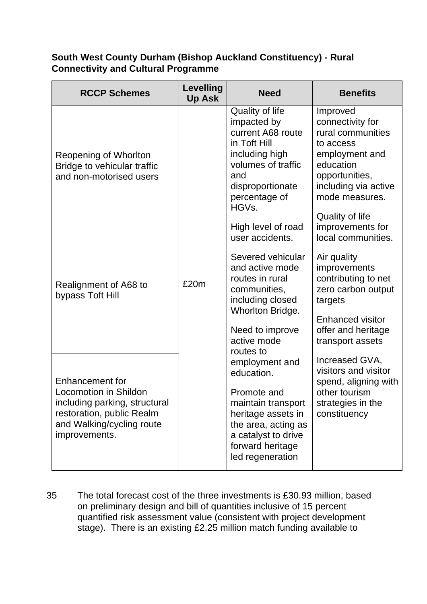#### **South West County Durham (Bishop Auckland Constituency) - Rural Connectivity and Cultural Programme**

| <b>RCCP Schemes</b>                                                                                                                                         | <b>Levelling</b><br><b>Up Ask</b> | <b>Need</b>                                                                                                                                                                            | <b>Benefits</b>                                                                                                                                                                                  |
|-------------------------------------------------------------------------------------------------------------------------------------------------------------|-----------------------------------|----------------------------------------------------------------------------------------------------------------------------------------------------------------------------------------|--------------------------------------------------------------------------------------------------------------------------------------------------------------------------------------------------|
| Reopening of Whorlton<br>Bridge to vehicular traffic<br>and non-motorised users                                                                             | £20m                              | Quality of life<br>impacted by<br>current A68 route<br>in Toft Hill<br>including high<br>volumes of traffic<br>and<br>disproportionate<br>percentage of<br>HGVs.<br>High level of road | Improved<br>connectivity for<br>rural communities<br>to access<br>employment and<br>education<br>opportunities,<br>including via active<br>mode measures.<br>Quality of life<br>improvements for |
| Realignment of A68 to<br>bypass Toft Hill                                                                                                                   |                                   |                                                                                                                                                                                        | user accidents.<br>Severed vehicular<br>and active mode<br>routes in rural<br>communities,<br>including closed<br><b>Whorlton Bridge.</b><br>Need to improve<br>active mode<br>routes to         |
| <b>Enhancement for</b><br>Locomotion in Shildon<br>including parking, structural<br>restoration, public Realm<br>and Walking/cycling route<br>improvements. |                                   | employment and<br>education.<br>Promote and<br>maintain transport<br>heritage assets in<br>the area, acting as<br>a catalyst to drive<br>forward heritage<br>led regeneration          | Increased GVA,<br>visitors and visitor<br>spend, aligning with<br>other tourism<br>strategies in the<br>constituency                                                                             |

35 The total forecast cost of the three investments is £30.93 million, based on preliminary design and bill of quantities inclusive of 15 percent quantified risk assessment value (consistent with project development stage). There is an existing £2.25 million match funding available to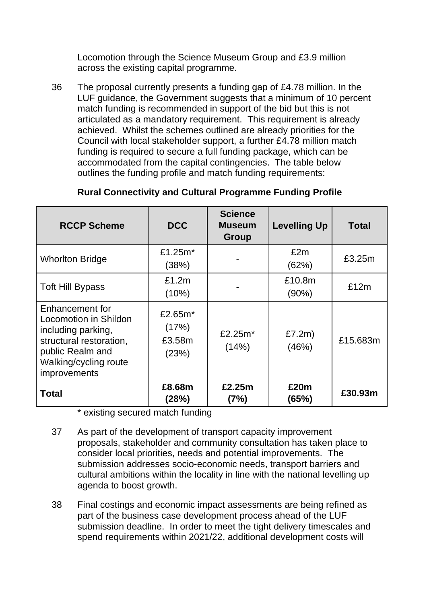Locomotion through the Science Museum Group and £3.9 million across the existing capital programme.

36 The proposal currently presents a funding gap of £4.78 million. In the LUF guidance, the Government suggests that a minimum of 10 percent match funding is recommended in support of the bid but this is not articulated as a mandatory requirement. This requirement is already achieved. Whilst the schemes outlined are already priorities for the Council with local stakeholder support, a further £4.78 million match funding is required to secure a full funding package, which can be accommodated from the capital contingencies. The table below outlines the funding profile and match funding requirements:

| <b>RCCP Scheme</b>                                                                                                                                     | <b>DCC</b>                          | <b>Science</b><br><b>Museum</b><br>Group | <b>Levelling Up</b> | <b>Total</b> |
|--------------------------------------------------------------------------------------------------------------------------------------------------------|-------------------------------------|------------------------------------------|---------------------|--------------|
| <b>Whorlton Bridge</b>                                                                                                                                 | £1.25m*<br>(38%)                    |                                          | £2m<br>(62%)        | £3.25m       |
| <b>Toft Hill Bypass</b>                                                                                                                                | £1.2 $m$<br>(10%)                   |                                          | £10.8m<br>$(90\%)$  | £12m         |
| Enhancement for<br>Locomotion in Shildon<br>including parking,<br>structural restoration,<br>public Realm and<br>Walking/cycling route<br>improvements | £2.65m*<br>(17%)<br>£3.58m<br>(23%) | £2.25 $m^*$<br>(14%)                     | £7.2m)<br>(46%)     | £15.683m     |
| Total                                                                                                                                                  | £8.68m<br>(28%)                     | £2.25m<br>(7%)                           | £20m<br>(65%)       | £30.93m      |

#### **Rural Connectivity and Cultural Programme Funding Profile**

\* existing secured match funding

- 37 As part of the development of transport capacity improvement proposals, stakeholder and community consultation has taken place to consider local priorities, needs and potential improvements. The submission addresses socio-economic needs, transport barriers and cultural ambitions within the locality in line with the national levelling up agenda to boost growth.
- 38 Final costings and economic impact assessments are being refined as part of the business case development process ahead of the LUF submission deadline. In order to meet the tight delivery timescales and spend requirements within 2021/22, additional development costs will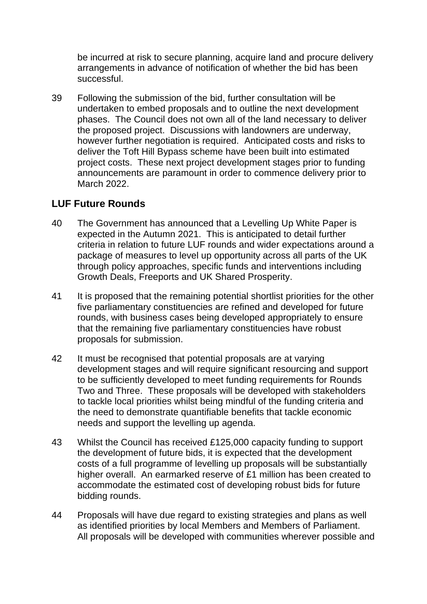be incurred at risk to secure planning, acquire land and procure delivery arrangements in advance of notification of whether the bid has been successful.

39 Following the submission of the bid, further consultation will be undertaken to embed proposals and to outline the next development phases. The Council does not own all of the land necessary to deliver the proposed project. Discussions with landowners are underway, however further negotiation is required. Anticipated costs and risks to deliver the Toft Hill Bypass scheme have been built into estimated project costs. These next project development stages prior to funding announcements are paramount in order to commence delivery prior to March 2022.

#### **LUF Future Rounds**

- 40 The Government has announced that a Levelling Up White Paper is expected in the Autumn 2021. This is anticipated to detail further criteria in relation to future LUF rounds and wider expectations around a package of measures to level up opportunity across all parts of the UK through policy approaches, specific funds and interventions including Growth Deals, Freeports and UK Shared Prosperity.
- 41 It is proposed that the remaining potential shortlist priorities for the other five parliamentary constituencies are refined and developed for future rounds, with business cases being developed appropriately to ensure that the remaining five parliamentary constituencies have robust proposals for submission.
- 42 It must be recognised that potential proposals are at varying development stages and will require significant resourcing and support to be sufficiently developed to meet funding requirements for Rounds Two and Three. These proposals will be developed with stakeholders to tackle local priorities whilst being mindful of the funding criteria and the need to demonstrate quantifiable benefits that tackle economic needs and support the levelling up agenda.
- 43 Whilst the Council has received £125,000 capacity funding to support the development of future bids, it is expected that the development costs of a full programme of levelling up proposals will be substantially higher overall. An earmarked reserve of £1 million has been created to accommodate the estimated cost of developing robust bids for future bidding rounds.
- 44 Proposals will have due regard to existing strategies and plans as well as identified priorities by local Members and Members of Parliament. All proposals will be developed with communities wherever possible and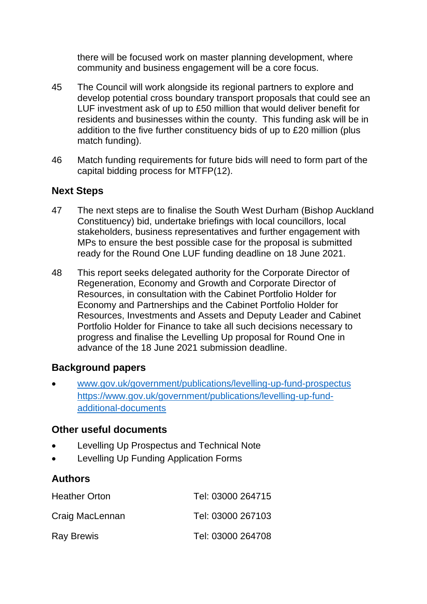there will be focused work on master planning development, where community and business engagement will be a core focus.

- 45 The Council will work alongside its regional partners to explore and develop potential cross boundary transport proposals that could see an LUF investment ask of up to £50 million that would deliver benefit for residents and businesses within the county. This funding ask will be in addition to the five further constituency bids of up to £20 million (plus match funding).
- 46 Match funding requirements for future bids will need to form part of the capital bidding process for MTFP(12).

#### **Next Steps**

- 47 The next steps are to finalise the South West Durham (Bishop Auckland Constituency) bid, undertake briefings with local councillors, local stakeholders, business representatives and further engagement with MPs to ensure the best possible case for the proposal is submitted ready for the Round One LUF funding deadline on 18 June 2021.
- 48 This report seeks delegated authority for the Corporate Director of Regeneration, Economy and Growth and Corporate Director of Resources, in consultation with the Cabinet Portfolio Holder for Economy and Partnerships and the Cabinet Portfolio Holder for Resources, Investments and Assets and Deputy Leader and Cabinet Portfolio Holder for Finance to take all such decisions necessary to progress and finalise the Levelling Up proposal for Round One in advance of the 18 June 2021 submission deadline.

#### **Background papers**

• [www.gov.uk/government/publications/levelling-up-fund-prospectus](http://www.gov.uk/government/publications/levelling-up-fund-prospectus) [https://www.gov.uk/government/publications/levelling-up-fund](https://www.gov.uk/government/publications/levelling-up-fund-additional-documents)[additional-documents](https://www.gov.uk/government/publications/levelling-up-fund-additional-documents)

#### **Other useful documents**

- Levelling Up Prospectus and Technical Note
- Levelling Up Funding Application Forms

#### **Authors**

| <b>Heather Orton</b> | Tel: 03000 264715 |
|----------------------|-------------------|
| Craig MacLennan      | Tel: 03000 267103 |
| <b>Ray Brewis</b>    | Tel: 03000 264708 |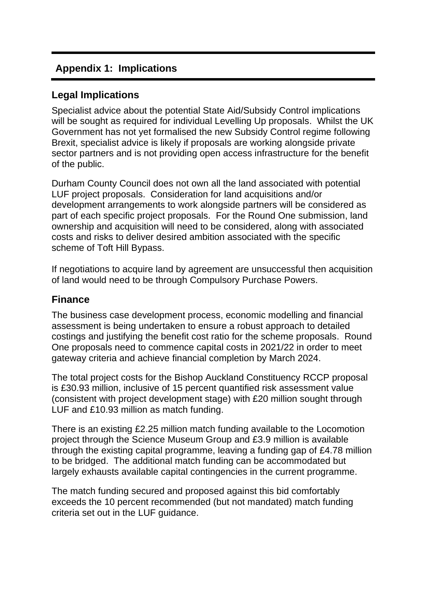# **Appendix 1: Implications**

#### **Legal Implications**

Specialist advice about the potential State Aid/Subsidy Control implications will be sought as required for individual Levelling Up proposals. Whilst the UK Government has not yet formalised the new Subsidy Control regime following Brexit, specialist advice is likely if proposals are working alongside private sector partners and is not providing open access infrastructure for the benefit of the public.

Durham County Council does not own all the land associated with potential LUF project proposals. Consideration for land acquisitions and/or development arrangements to work alongside partners will be considered as part of each specific project proposals. For the Round One submission, land ownership and acquisition will need to be considered, along with associated costs and risks to deliver desired ambition associated with the specific scheme of Toft Hill Bypass.

If negotiations to acquire land by agreement are unsuccessful then acquisition of land would need to be through Compulsory Purchase Powers.

#### **Finance**

The business case development process, economic modelling and financial assessment is being undertaken to ensure a robust approach to detailed costings and justifying the benefit cost ratio for the scheme proposals. Round One proposals need to commence capital costs in 2021/22 in order to meet gateway criteria and achieve financial completion by March 2024.

The total project costs for the Bishop Auckland Constituency RCCP proposal is £30.93 million, inclusive of 15 percent quantified risk assessment value (consistent with project development stage) with £20 million sought through LUF and £10.93 million as match funding.

There is an existing £2.25 million match funding available to the Locomotion project through the Science Museum Group and £3.9 million is available through the existing capital programme, leaving a funding gap of £4.78 million to be bridged. The additional match funding can be accommodated but largely exhausts available capital contingencies in the current programme.

The match funding secured and proposed against this bid comfortably exceeds the 10 percent recommended (but not mandated) match funding criteria set out in the LUF guidance.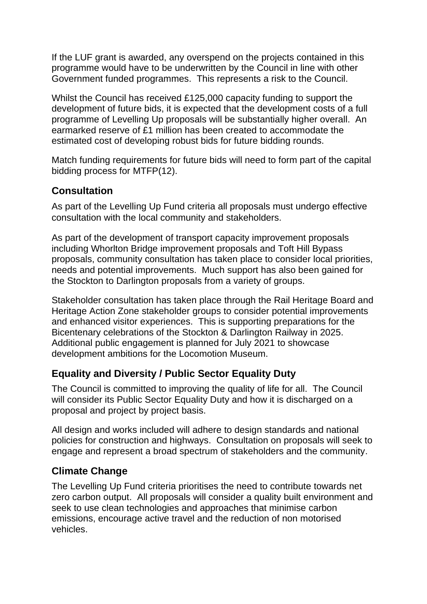If the LUF grant is awarded, any overspend on the projects contained in this programme would have to be underwritten by the Council in line with other Government funded programmes. This represents a risk to the Council.

Whilst the Council has received £125,000 capacity funding to support the development of future bids, it is expected that the development costs of a full programme of Levelling Up proposals will be substantially higher overall. An earmarked reserve of £1 million has been created to accommodate the estimated cost of developing robust bids for future bidding rounds.

Match funding requirements for future bids will need to form part of the capital bidding process for MTFP(12).

# **Consultation**

As part of the Levelling Up Fund criteria all proposals must undergo effective consultation with the local community and stakeholders.

As part of the development of transport capacity improvement proposals including Whorlton Bridge improvement proposals and Toft Hill Bypass proposals, community consultation has taken place to consider local priorities, needs and potential improvements. Much support has also been gained for the Stockton to Darlington proposals from a variety of groups.

Stakeholder consultation has taken place through the Rail Heritage Board and Heritage Action Zone stakeholder groups to consider potential improvements and enhanced visitor experiences. This is supporting preparations for the Bicentenary celebrations of the Stockton & Darlington Railway in 2025. Additional public engagement is planned for July 2021 to showcase development ambitions for the Locomotion Museum.

# **Equality and Diversity / Public Sector Equality Duty**

The Council is committed to improving the quality of life for all. The Council will consider its Public Sector Equality Duty and how it is discharged on a proposal and project by project basis.

All design and works included will adhere to design standards and national policies for construction and highways. Consultation on proposals will seek to engage and represent a broad spectrum of stakeholders and the community.

# **Climate Change**

The Levelling Up Fund criteria prioritises the need to contribute towards net zero carbon output. All proposals will consider a quality built environment and seek to use clean technologies and approaches that minimise carbon emissions, encourage active travel and the reduction of non motorised vehicles.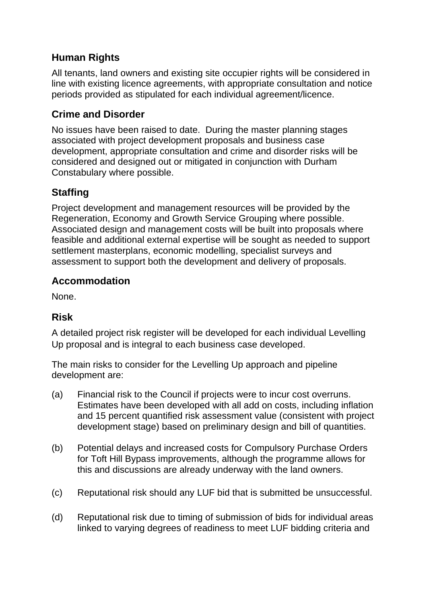# **Human Rights**

All tenants, land owners and existing site occupier rights will be considered in line with existing licence agreements, with appropriate consultation and notice periods provided as stipulated for each individual agreement/licence.

# **Crime and Disorder**

No issues have been raised to date. During the master planning stages associated with project development proposals and business case development, appropriate consultation and crime and disorder risks will be considered and designed out or mitigated in conjunction with Durham Constabulary where possible.

# **Staffing**

Project development and management resources will be provided by the Regeneration, Economy and Growth Service Grouping where possible. Associated design and management costs will be built into proposals where feasible and additional external expertise will be sought as needed to support settlement masterplans, economic modelling, specialist surveys and assessment to support both the development and delivery of proposals.

#### **Accommodation**

None.

# **Risk**

A detailed project risk register will be developed for each individual Levelling Up proposal and is integral to each business case developed.

The main risks to consider for the Levelling Up approach and pipeline development are:

- (a) Financial risk to the Council if projects were to incur cost overruns. Estimates have been developed with all add on costs, including inflation and 15 percent quantified risk assessment value (consistent with project development stage) based on preliminary design and bill of quantities.
- (b) Potential delays and increased costs for Compulsory Purchase Orders for Toft Hill Bypass improvements, although the programme allows for this and discussions are already underway with the land owners.
- (c) Reputational risk should any LUF bid that is submitted be unsuccessful.
- (d) Reputational risk due to timing of submission of bids for individual areas linked to varying degrees of readiness to meet LUF bidding criteria and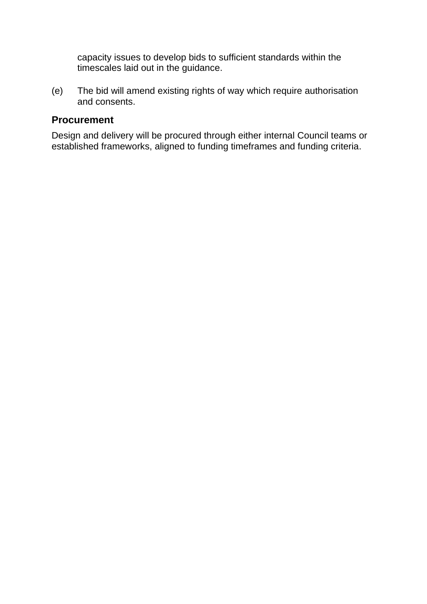capacity issues to develop bids to sufficient standards within the timescales laid out in the guidance.

(e) The bid will amend existing rights of way which require authorisation and consents.

#### **Procurement**

Design and delivery will be procured through either internal Council teams or established frameworks, aligned to funding timeframes and funding criteria.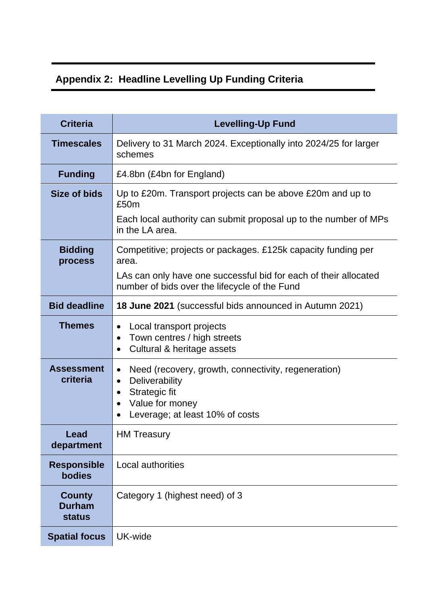# **Appendix 2: Headline Levelling Up Funding Criteria**

| <b>Criteria</b>                                 | <b>Levelling-Up Fund</b>                                                                                                                                                                                      |
|-------------------------------------------------|---------------------------------------------------------------------------------------------------------------------------------------------------------------------------------------------------------------|
| <b>Timescales</b>                               | Delivery to 31 March 2024. Exceptionally into 2024/25 for larger<br>schemes                                                                                                                                   |
| <b>Funding</b>                                  | £4.8bn (£4bn for England)                                                                                                                                                                                     |
| <b>Size of bids</b>                             | Up to £20m. Transport projects can be above £20m and up to<br>£50m<br>Each local authority can submit proposal up to the number of MPs<br>in the LA area.                                                     |
| <b>Bidding</b><br>process                       | Competitive; projects or packages. £125k capacity funding per<br>area.<br>LAs can only have one successful bid for each of their allocated<br>number of bids over the lifecycle of the Fund                   |
| <b>Bid deadline</b>                             | 18 June 2021 (successful bids announced in Autumn 2021)                                                                                                                                                       |
| <b>Themes</b>                                   | Local transport projects<br>$\bullet$<br>Town centres / high streets<br>$\bullet$<br>Cultural & heritage assets<br>$\bullet$                                                                                  |
| <b>Assessment</b><br>criteria                   | Need (recovery, growth, connectivity, regeneration)<br>$\bullet$<br>Deliverability<br>$\bullet$<br>Strategic fit<br>$\bullet$<br>Value for money<br>$\bullet$<br>Leverage; at least 10% of costs<br>$\bullet$ |
| Lead<br>department                              | <b>HM Treasury</b>                                                                                                                                                                                            |
| <b>Responsible</b><br><b>bodies</b>             | Local authorities                                                                                                                                                                                             |
| <b>County</b><br><b>Durham</b><br><b>status</b> | Category 1 (highest need) of 3                                                                                                                                                                                |
| <b>Spatial focus</b>                            | UK-wide                                                                                                                                                                                                       |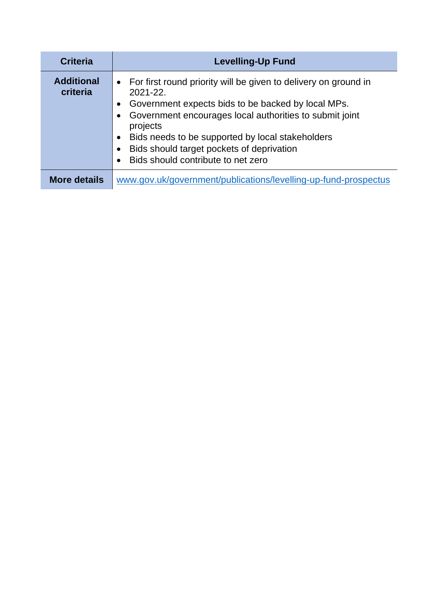| <b>Criteria</b>               | <b>Levelling-Up Fund</b>                                                                                                                                                                                                                                                                                                                                                    |
|-------------------------------|-----------------------------------------------------------------------------------------------------------------------------------------------------------------------------------------------------------------------------------------------------------------------------------------------------------------------------------------------------------------------------|
| <b>Additional</b><br>criteria | • For first round priority will be given to delivery on ground in<br>2021-22.<br>Government expects bids to be backed by local MPs.<br>$\bullet$<br>Government encourages local authorities to submit joint<br>projects<br>Bids needs to be supported by local stakeholders<br>$\bullet$<br>Bids should target pockets of deprivation<br>Bids should contribute to net zero |
| More details                  | www.gov.uk/government/publications/levelling-up-fund-prospectus                                                                                                                                                                                                                                                                                                             |